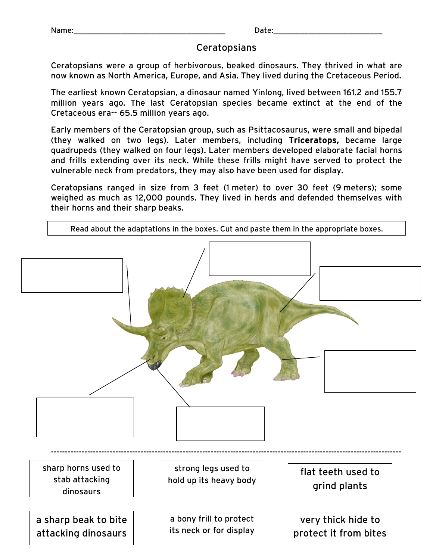## Ceratopsians

Ceratopsians were a group of herbivorous, beaked dinosaurs. They thrived in what are now known as North America, Europe, and Asia. They lived during the Cretaceous Period.

The earliest known Ceratopsian, a dinosaur named Yinlong, lived between 161.2 and 155.7 million years ago. The last Ceratopsian species became extinct at the end of the Cretaceous era-- 65.5 million years ago.

Early members of the Ceratopsian group, such as Psittacosaurus, were small and bipedal (they walked on two legs). Later members, including Triceratops, became large quadrupeds (they walked on four legs). Later members developed elaborate facial horns and frills extending over its neck. While these frills might have served to protect the vulnerable neck from predators, they may also have been used for display.

Ceratopsians ranged in size from 3 feet (1 meter) to over 30 feet (9 meters); some weighed as much as 12,000 pounds. They lived in herds and defended themselves with their horns and their sharp beaks.